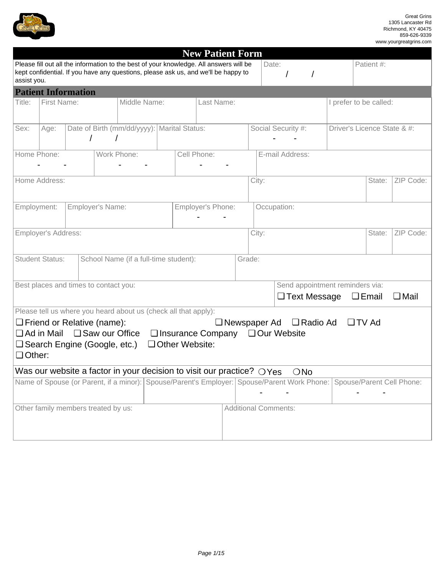

MN

 $\overline{\phantom{a}}$ 

|               |                            |                                                       |                                                                 |                | <b>New Patient Form</b><br>Please fill out all the information to the best of your knowledge. All answers will be |        | Date:                                                                                       |                             | Patient #: |                           |
|---------------|----------------------------|-------------------------------------------------------|-----------------------------------------------------------------|----------------|-------------------------------------------------------------------------------------------------------------------|--------|---------------------------------------------------------------------------------------------|-----------------------------|------------|---------------------------|
| assist you.   |                            |                                                       |                                                                 |                | kept confidential. If you have any questions, please ask us, and we'll be happy to                                |        |                                                                                             |                             |            |                           |
|               |                            | <b>Patient Information</b>                            |                                                                 |                |                                                                                                                   |        |                                                                                             |                             |            |                           |
| Title:        | First Name:                |                                                       | Middle Name:                                                    |                | Last Name:                                                                                                        |        |                                                                                             | I prefer to be called:      |            |                           |
| Sex:          | Age:                       |                                                       | Date of Birth (mm/dd/yyyy): Marital Status:                     |                |                                                                                                                   |        | Social Security #:                                                                          | Driver's Licence State & #: |            |                           |
| Home Phone:   |                            |                                                       | Work Phone:                                                     |                | Cell Phone:                                                                                                       |        | E-mail Address:                                                                             |                             |            |                           |
|               | Home Address:              |                                                       |                                                                 |                |                                                                                                                   | City:  |                                                                                             |                             | State:     | ZIP Code:                 |
| Employment:   |                            | Employer's Name:                                      |                                                                 |                | Employer's Phone:                                                                                                 |        | Occupation:                                                                                 |                             |            |                           |
|               | <b>Employer's Address:</b> |                                                       |                                                                 |                |                                                                                                                   | City:  |                                                                                             |                             | State:     | ZIP Code:                 |
|               | <b>Student Status:</b>     |                                                       | School Name (if a full-time student):                           |                |                                                                                                                   | Grade: |                                                                                             |                             |            |                           |
|               |                            | Best places and times to contact you:                 |                                                                 |                |                                                                                                                   |        | Send appointment reminders via:<br>$\Box$ Text Message $\Box$ Email                         |                             |            | $\square$ Mail            |
|               |                            |                                                       | Please tell us where you heard about us (check all that apply): |                |                                                                                                                   |        |                                                                                             |                             |            |                           |
|               | $\Box$ Ad in Mail          | $\Box$ Friend or Relative (name):<br>□ Saw our Office |                                                                 |                | □ Insurance Company                                                                                               |        | $\Box$ Newspaper Ad $\Box$ Radio Ad<br>Our Website                                          | $\Box$ TV Ad                |            |                           |
| $\Box$ Other: |                            | $\Box$ Search Engine (Google, etc.)                   |                                                                 | Other Website: |                                                                                                                   |        |                                                                                             |                             |            |                           |
|               |                            |                                                       |                                                                 |                | Was our website a factor in your decision to visit our practice? $\bigcirc$ Yes                                   |        | $\bigcirc$ No                                                                               |                             |            |                           |
|               |                            |                                                       |                                                                 |                |                                                                                                                   |        | Name of Spouse (or Parent, if a minor): Spouse/Parent's Employer: Spouse/Parent Work Phone: |                             |            | Spouse/Parent Cell Phone: |
|               |                            | Other family members treated by us:                   |                                                                 |                |                                                                                                                   |        | <b>Additional Comments:</b>                                                                 |                             |            |                           |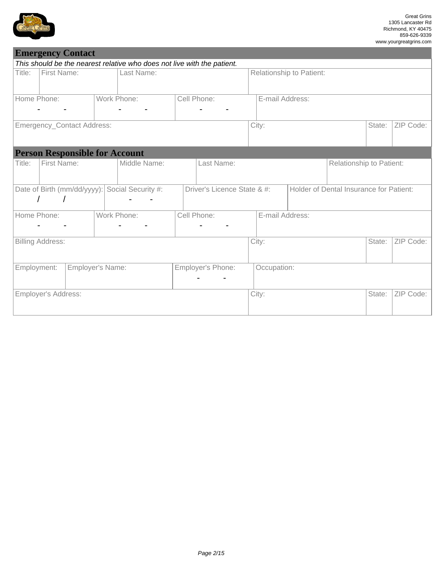

|                            | <b>Emergency Contact</b>                       |             |                                                                         |  |                             |       |             |                                         |                          |           |           |
|----------------------------|------------------------------------------------|-------------|-------------------------------------------------------------------------|--|-----------------------------|-------|-------------|-----------------------------------------|--------------------------|-----------|-----------|
|                            |                                                |             | This should be the nearest relative who does not live with the patient. |  |                             |       |             |                                         |                          |           |           |
| Title:                     | First Name:                                    |             | Last Name:                                                              |  |                             |       |             | Relationship to Patient:                |                          |           |           |
| Home Phone:<br>Work Phone: |                                                |             |                                                                         |  | Cell Phone:                 |       |             | E-mail Address:                         |                          |           |           |
| Emergency_Contact Address: |                                                |             |                                                                         |  |                             | City: |             |                                         |                          | State:    | ZIP Code: |
|                            | <b>Person Responsible for Account</b>          |             |                                                                         |  |                             |       |             |                                         |                          |           |           |
| Title:                     | First Name:                                    |             | Middle Name:                                                            |  | Last Name:                  |       |             |                                         | Relationship to Patient: |           |           |
|                            | Date of Birth (mm/dd/yyyy): Social Security #: |             |                                                                         |  | Driver's Licence State & #: |       |             | Holder of Dental Insurance for Patient: |                          |           |           |
| Home Phone:                |                                                | Work Phone: |                                                                         |  | Cell Phone:                 |       |             | E-mail Address:                         |                          |           |           |
|                            | <b>Billing Address:</b>                        |             |                                                                         |  |                             | City: |             |                                         |                          | State:    | ZIP Code: |
| Employment:                | Employer's Name:                               |             |                                                                         |  | Employer's Phone:           |       | Occupation: |                                         |                          |           |           |
| Employer's Address:        |                                                |             |                                                                         |  | City:                       |       |             |                                         | State:                   | ZIP Code: |           |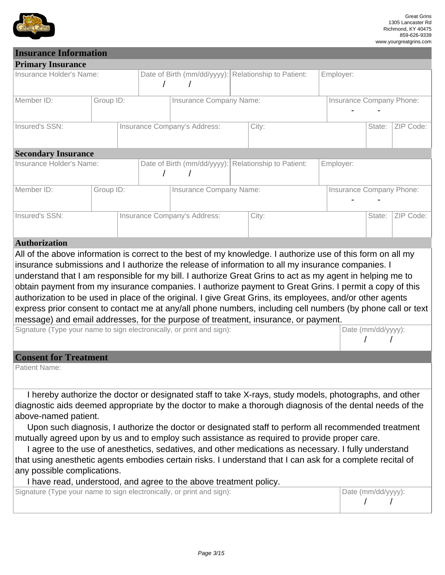

/ /

2016 2017

 $\frac{1}{1}$ LI/ U

 $\frac{1}{2}$  $\ddot{\phantom{a}}$ HI

ME

16

01

2016

01

01 02

01 02

#### **Insurance Information Primary Insurance** Insurance Holder's Name: | Date of Birth (mm/dd/yyyy): Relationship to Patient: | Employer: / / Member ID: Group ID: Insurance Company Name: Insurance Company Phone: - - Insured's SSN: Sate: | Insurance Company's Address: City: State: | State: | ZIP Code: | State: | ZIP Code: | ZIP Code: | State: | ZIP Code: | State: | ZIP Code: | State: | ZIP Code: | State: | ZIP Code: | State: | ZIP Code **Secondary Insurance** Insurance Holder's Name: | Date of Birth (mm/dd/yyyy): Relationship to Patient: | Employer: / / Member ID: Since Group ID: Sand All All Annual Company Name: Insurance Company Phone: Insurance Company Phone: - - Insured's SSN: Insurance Company's Address: City: City: State: ZIP Code: **Authorization** Autnorization<br>All of the above information is correct to the best of my knowledge. I authorize use of this form on all my Further the above information is correct to the best of my information to all my insurance companies. In starting the release of information to all my insurance companies. Instituted Submissions and I during the release of information to all my institutive companies. If<br>understand that I am responsible for my bill. I authorize Great Grins to act as my agent in helping me to anderstand that I am responsible for my bill: I dathorize Great Grins to dot as my agent in helping me to obtain payment from my insurance companies. I authorize payment to Great Grins. I permit a copy of this obtain payment non my insurance companies: I admonze payment to Sicat Sillis. I permit a copy of a authorization to be used in place of the original. I give Great Grins, its employees, and/or other agents express prior consent to contact me at any/all phone numbers, including cell numbers (by phone call or text express phot consent to contact the at anyonic photoc numbers; including con numbers<br>message) and email addresses, for the purpose of treatment, insurance, or payment. 01 03 06 09  $\overline{\bigcup_{n \in \mathbb{N}}$  $\mathbb{R}^2$  $\overline{\phantom{a}}$ 06  $\overline{1}$ 10 11 14 <u>2022 - 2024</u> 2021  $\frac{1}{2}$  $200$ 2013 AL AR <u>c</u> CT State: FL HI ile<br>. ID  $\mathbf{a}$ ier ion 01 03 06  $\frac{1}{2}$  and the best of my knowledge I authorize use of this form of notize the release of information to all my insurance companies for my hill I authorize Great Grins to art as my agent in helpin not my bill. I duribilize creat critic to dot do my agent in helpin<br>Pe companies I authorize payment to Great Grins I permit a co of the original Lgive Great Grins its employees and/or other or the original rights order onne, to employeed, and/or other to<br>me at any/all phone numbers including cell numbers (by phone  $\overline{\bigcup_{n \in \mathbb{N}}$  $\mathbb{R}^2$  $\overline{\phantom{a}}$ 06 <u>2022 - 2024</u> 2021 AL P

Signature (Type your name to sign electronically, or print and sign): Date (mm/dd/yyyy):  $\overline{a}$  $\frac{20}{100}$  $\overline{a}$  $\frac{1}{2}$  or print and

## **Consent for Treatment**

Patient Name:

I hereby authorize the doctor or designated staff to take X-rays, study models, photographs, and other diagnostic aids deemed appropriate by the doctor to make a thorough diagnosis of the dental needs of the above-named patient. 30 →<br>1998 tr  $101$  to make a thorough diagnosis or the defital fit וסוו.<br>י gnated staff to take X-rays, study models, photographs, and othe the doctor to make a thorough diagnosis of the dental net  $\ddot{\phantom{0}}$ e dental needs of t

2003

2011 2010

above-named panent.<br>Upon such diagnosis, I authorize the doctor or designated staff to perform all recommended treatment mutually agreed upon by us and to employ such assistance as required to provide proper care. icu<br>. doctor or designated staff to perform all recommended treatmer

I agree to the use of anesthetics, sedatives, and other medications as necessary. I fully understand<br>I agree to the use of anesthetics, sedatives, and other medications as necessary. I fully understand that using anesthetic agents embodies certain risks. I understand that I can ask for a complete recital of any possible complications. 115NS. I UNUCISIANU MALT CAN ASN'IOI A COMPICIC I nut latives, and other medications as necessary. I fully understand certain risks. I understand that I can ask for a complete r MI complete recital of

I have read, understood, and agree to the above treatment policy. o the above

24

16 17

| i have read, understood, and agree to the above treatment policy.     |                    |
|-----------------------------------------------------------------------|--------------------|
| Signature (Type your name to sign electronically, or print and sign): | Date (mm/dd/yyyy): |
|                                                                       |                    |
|                                                                       |                    |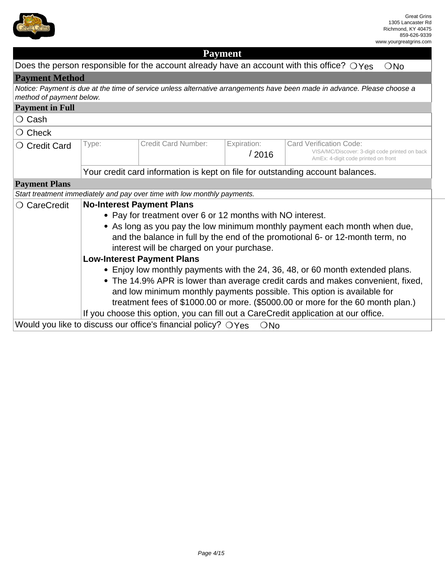

| <b>Payment</b>                                                                                                                                                                                                                                                                                                                                                                                                                                                                                                                               |       |                                                                          |                      |                                                                                                                          |  |  |  |
|----------------------------------------------------------------------------------------------------------------------------------------------------------------------------------------------------------------------------------------------------------------------------------------------------------------------------------------------------------------------------------------------------------------------------------------------------------------------------------------------------------------------------------------------|-------|--------------------------------------------------------------------------|----------------------|--------------------------------------------------------------------------------------------------------------------------|--|--|--|
| Does the person responsible for the account already have an account with this office? $\bigcirc$ Yes<br>$\bigcirc$ No                                                                                                                                                                                                                                                                                                                                                                                                                        |       |                                                                          |                      |                                                                                                                          |  |  |  |
| <b>Payment Method</b>                                                                                                                                                                                                                                                                                                                                                                                                                                                                                                                        |       |                                                                          |                      |                                                                                                                          |  |  |  |
| method of payment below.                                                                                                                                                                                                                                                                                                                                                                                                                                                                                                                     |       |                                                                          |                      | Notice: Payment is due at the time of service unless alternative arrangements have been made in advance. Please choose a |  |  |  |
| <b>Payment in Full</b>                                                                                                                                                                                                                                                                                                                                                                                                                                                                                                                       |       |                                                                          |                      |                                                                                                                          |  |  |  |
| O Cash                                                                                                                                                                                                                                                                                                                                                                                                                                                                                                                                       |       |                                                                          |                      |                                                                                                                          |  |  |  |
| O Check                                                                                                                                                                                                                                                                                                                                                                                                                                                                                                                                      |       |                                                                          |                      |                                                                                                                          |  |  |  |
| O Credit Card                                                                                                                                                                                                                                                                                                                                                                                                                                                                                                                                | Type: | Credit Card Number:                                                      | Expiration:<br>/2016 | <b>Card Verification Code:</b><br>VISA/MC/Discover: 3-digit code printed on back<br>AmEx: 4-digit code printed on front  |  |  |  |
|                                                                                                                                                                                                                                                                                                                                                                                                                                                                                                                                              |       |                                                                          |                      | Your credit card information is kept on file for outstanding account balances.                                           |  |  |  |
| <b>Payment Plans</b>                                                                                                                                                                                                                                                                                                                                                                                                                                                                                                                         |       |                                                                          |                      |                                                                                                                          |  |  |  |
|                                                                                                                                                                                                                                                                                                                                                                                                                                                                                                                                              |       | Start treatment immediately and pay over time with low monthly payments. |                      |                                                                                                                          |  |  |  |
| O CareCredit<br><b>No-Interest Payment Plans</b><br>• Pay for treatment over 6 or 12 months with NO interest.<br>• As long as you pay the low minimum monthly payment each month when due,<br>and the balance in full by the end of the promotional 6- or 12-month term, no<br>interest will be charged on your purchase.                                                                                                                                                                                                                    |       |                                                                          |                      |                                                                                                                          |  |  |  |
| <b>Low-Interest Payment Plans</b><br>• Enjoy low monthly payments with the 24, 36, 48, or 60 month extended plans.<br>• The 14.9% APR is lower than average credit cards and makes convenient, fixed,<br>and low minimum monthly payments possible. This option is available for<br>treatment fees of \$1000.00 or more. (\$5000.00 or more for the 60 month plan.)<br>If you choose this option, you can fill out a CareCredit application at our office.<br>Would you like to discuss our office's financial policy? $\bigcirc$ Yes<br>ONo |       |                                                                          |                      |                                                                                                                          |  |  |  |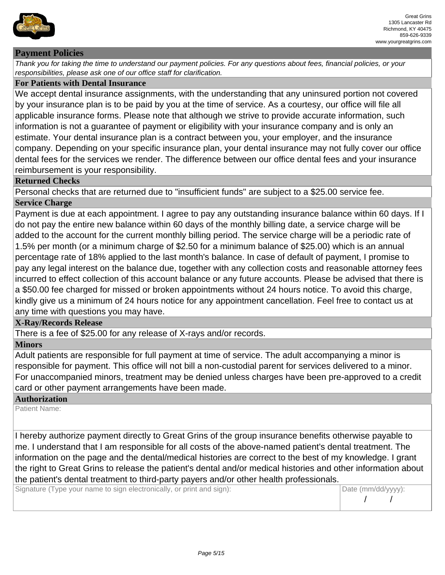

## **Payment Policies**

Thank you for taking the time to understand our payment policies. For any questions about fees, financial policies, or your responsibilities, please ask one of our office staff for clarification.

## **For Patients with Dental Insurance**

We accept dental insurance assignments, with the understanding that any uninsured portion not covered by your insurance plan is to be paid by you at the time of service. As a courtesy, our office will file all applicable insurance forms. Please note that although we strive to provide accurate information, such information is not a guarantee of payment or eligibility with your insurance company and is only an estimate. Your dental insurance plan is a contract between you, your employer, and the insurance company. Depending on your specific insurance plan, your dental insurance may not fully cover our office dental fees for the services we render. The difference between our office dental fees and your insurance reimbursement is your responsibility.

## **Returned Checks**

Personal checks that are returned due to "insufficient funds" are subject to a \$25.00 service fee. **Service Charge**

Payment is due at each appointment. I agree to pay any outstanding insurance balance within 60 days. If I do not pay the entire new balance within 60 days of the monthly billing date, a service charge will be added to the account for the current monthly billing period. The service charge will be a periodic rate of 1.5% per month (or a minimum charge of \$2.50 for a minimum balance of \$25.00) which is an annual percentage rate of 18% applied to the last month's balance. In case of default of payment, I promise to pay any legal interest on the balance due, together with any collection costs and reasonable attorney fees incurred to effect collection of this account balance or any future accounts. Please be advised that there is a \$50.00 fee charged for missed or broken appointments without 24 hours notice. To avoid this charge, kindly give us a minimum of 24 hours notice for any appointment cancellation. Feel free to contact us at any time with questions you may have.

## **X-Ray/Records Release**

There is a fee of \$25.00 for any release of X-rays and/or records.

## **Minors**

Adult patients are responsible for full payment at time of service. The adult accompanying a minor is responsible for payment. This office will not bill a non-custodial parent for services delivered to a minor. For unaccompanied minors, treatment may be denied unless charges have been pre-approved to a credit card or other payment arrangements have been made.

### **Authorization**

Patient Name:

I hereby authorize payment directly to Great Grins of the group insurance benefits otherwise payable to me. I understand that I am responsible for all costs of the above-named patient's dental treatment. The information on the page and the dental/medical histories are correct to the best of my knowledge. I grant the right to Great Grins to release the patient's dental and/or medical histories and other information about the patient's dental treatment to third-party payers and/or other health professionals.

Signature (Type your name to sign electronically, or print and sign): <br>
Date (mm/dd/yyyy):

 $\overline{\phantom{0}}$ 

2016

 $\overline{\phantom{0}}$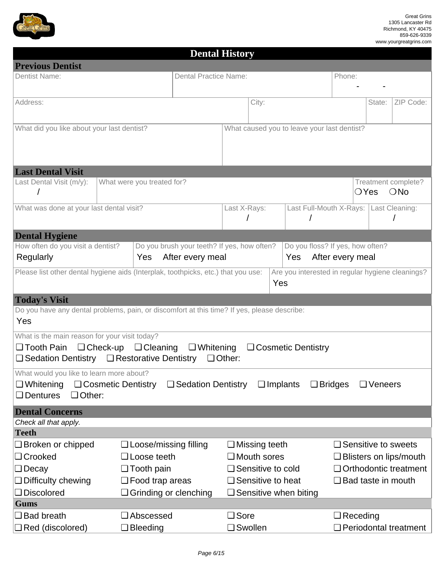

| <b>Dental History</b>                                                                       |                                     |                              |                                             |                                                  |                               |                |                         |
|---------------------------------------------------------------------------------------------|-------------------------------------|------------------------------|---------------------------------------------|--------------------------------------------------|-------------------------------|----------------|-------------------------|
| <b>Previous Dentist</b>                                                                     |                                     |                              |                                             |                                                  |                               |                |                         |
| <b>Dentist Name:</b>                                                                        |                                     | <b>Dental Practice Name:</b> |                                             |                                                  | Phone:                        |                |                         |
|                                                                                             |                                     |                              |                                             |                                                  |                               |                |                         |
| Address:                                                                                    |                                     |                              | City:                                       |                                                  |                               | State:         | ZIP Code:               |
|                                                                                             |                                     |                              |                                             |                                                  |                               |                |                         |
| What did you like about your last dentist?                                                  |                                     |                              | What caused you to leave your last dentist? |                                                  |                               |                |                         |
|                                                                                             |                                     |                              |                                             |                                                  |                               |                |                         |
|                                                                                             |                                     |                              |                                             |                                                  |                               |                |                         |
|                                                                                             |                                     |                              |                                             |                                                  |                               |                |                         |
| <b>Last Dental Visit</b><br>Last Dental Visit (m/y):                                        | What were you treated for?          |                              |                                             |                                                  |                               |                | Treatment complete?     |
|                                                                                             |                                     |                              |                                             |                                                  |                               | $\bigcirc$ Yes | ONo                     |
|                                                                                             |                                     |                              |                                             |                                                  |                               |                |                         |
| What was done at your last dental visit?                                                    |                                     |                              | Last X-Rays:                                | Last Full-Mouth X-Rays:                          |                               |                | Last Cleaning:          |
|                                                                                             |                                     |                              |                                             |                                                  |                               |                |                         |
| <b>Dental Hygiene</b>                                                                       |                                     |                              |                                             |                                                  |                               |                |                         |
| How often do you visit a dentist?                                                           |                                     |                              | Do you brush your teeth? If yes, how often? | Do you floss? If yes, how often?                 |                               |                |                         |
| Regularly                                                                                   | Yes                                 | After every meal             |                                             | Yes                                              | After every meal              |                |                         |
| Please list other dental hygiene aids (Interplak, toothpicks, etc.) that you use:           |                                     |                              |                                             | Are you interested in regular hygiene cleanings? |                               |                |                         |
|                                                                                             |                                     |                              |                                             | Yes                                              |                               |                |                         |
| <b>Today's Visit</b>                                                                        |                                     |                              |                                             |                                                  |                               |                |                         |
| Do you have any dental problems, pain, or discomfort at this time? If yes, please describe: |                                     |                              |                                             |                                                  |                               |                |                         |
| Yes                                                                                         |                                     |                              |                                             |                                                  |                               |                |                         |
| What is the main reason for your visit today?                                               |                                     |                              |                                             |                                                  |                               |                |                         |
| $\Box$ Tooth Pain $\Box$ Check-up $\Box$ Cleaning $\Box$ Whitening                          |                                     |                              |                                             | □ Cosmetic Dentistry                             |                               |                |                         |
| □ Sedation Dentistry □ Restorative Dentistry                                                |                                     |                              | $\Box$ Other:                               |                                                  |                               |                |                         |
| What would you like to learn more about?                                                    |                                     |                              |                                             |                                                  |                               |                |                         |
| $\Box$ Whitening<br>□ Cosmetic Dentistry                                                    |                                     |                              |                                             |                                                  |                               |                |                         |
|                                                                                             |                                     |                              | □ Sedation Dentistry                        | $\Box$ Implants<br>$\Box$ Bridges                |                               | $\Box$ Veneers |                         |
| $\Box$ Other:<br>$\Box$ Dentures                                                            |                                     |                              |                                             |                                                  |                               |                |                         |
| <b>Dental Concerns</b>                                                                      |                                     |                              |                                             |                                                  |                               |                |                         |
| Check all that apply.                                                                       |                                     |                              |                                             |                                                  |                               |                |                         |
| <b>Teeth</b>                                                                                |                                     |                              |                                             |                                                  |                               |                |                         |
| $\Box$ Broken or chipped                                                                    | $\Box$ Loose/missing filling        |                              | $\Box$ Missing teeth                        |                                                  | $\Box$ Sensitive to sweets    |                |                         |
| □ Crooked                                                                                   | $\Box$ Loose teeth                  |                              | $\Box$ Mouth sores                          |                                                  | $\Box$ Blisters on lips/mouth |                |                         |
| $\Box$ Decay                                                                                | $\Box$ Tooth pain                   |                              | $\Box$ Sensitive to cold                    |                                                  |                               |                | □ Orthodontic treatment |
| $\Box$ Difficulty chewing                                                                   | $\Box$ Food trap areas              |                              | $\Box$ Sensitive to heat                    |                                                  | $\Box$ Bad taste in mouth     |                |                         |
| Discolored                                                                                  | $\Box$ Grinding or clenching        |                              | $\Box$ Sensitive when biting                |                                                  |                               |                |                         |
| Gums                                                                                        |                                     |                              |                                             |                                                  |                               |                |                         |
| $\Box$ Bad breath<br>$\Box$ Red (discolored)                                                | $\Box$ Abscessed<br>$\Box$ Bleeding |                              | $\Box$ Sore<br>□ Swollen                    |                                                  | $\Box$ Receding               |                | □ Periodontal treatment |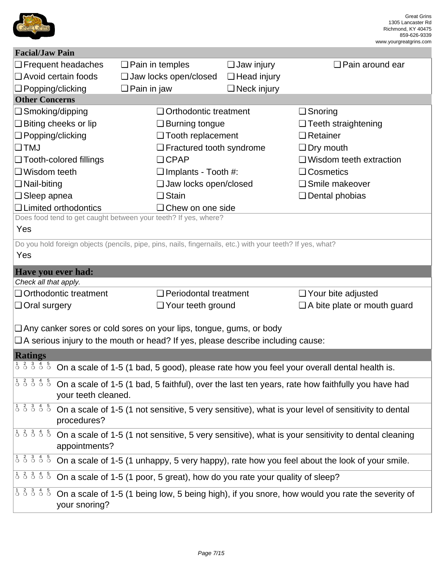

| <b>Facial/Jaw Pain</b>                                                                                                                                                         |                                                                                                                                                                  |                    |                                                                                                    |  |  |
|--------------------------------------------------------------------------------------------------------------------------------------------------------------------------------|------------------------------------------------------------------------------------------------------------------------------------------------------------------|--------------------|----------------------------------------------------------------------------------------------------|--|--|
| $\Box$ Frequent headaches                                                                                                                                                      | $\Box$ Pain in temples                                                                                                                                           | $\Box$ Jaw injury  | $\Box$ Pain around ear                                                                             |  |  |
| $\Box$ Avoid certain foods                                                                                                                                                     | $\Box$ Jaw locks open/closed                                                                                                                                     | $\Box$ Head injury |                                                                                                    |  |  |
| $\Box$ Popping/clicking                                                                                                                                                        | $\Box$ Pain in jaw                                                                                                                                               | $\Box$ Neck injury |                                                                                                    |  |  |
| <b>Other Concerns</b>                                                                                                                                                          |                                                                                                                                                                  |                    |                                                                                                    |  |  |
| $\Box$ Smoking/dipping                                                                                                                                                         | □ Orthodontic treatment                                                                                                                                          |                    | $\Box$ Snoring                                                                                     |  |  |
| $\Box$ Biting cheeks or lip                                                                                                                                                    | □ Burning tongue                                                                                                                                                 |                    | $\Box$ Teeth straightening                                                                         |  |  |
| $\Box$ Popping/clicking                                                                                                                                                        | □ Tooth replacement                                                                                                                                              |                    | $\Box$ Retainer                                                                                    |  |  |
| $\Box$ TMJ                                                                                                                                                                     | $\Box$ Fractured tooth syndrome                                                                                                                                  |                    | $\Box$ Dry mouth                                                                                   |  |  |
| $\Box$ Tooth-colored fillings                                                                                                                                                  | $\Box$ CPAP                                                                                                                                                      |                    | $\Box$ Wisdom teeth extraction                                                                     |  |  |
| $\Box$ Wisdom teeth                                                                                                                                                            | $\Box$ Implants - Tooth #:                                                                                                                                       |                    | □ Cosmetics                                                                                        |  |  |
| $\Box$ Nail-biting                                                                                                                                                             | $\Box$ Jaw locks open/closed                                                                                                                                     |                    | □ Smile makeover                                                                                   |  |  |
| $\Box$ Sleep apnea                                                                                                                                                             | $\Box$ Stain                                                                                                                                                     |                    | $\Box$ Dental phobias                                                                              |  |  |
| $\Box$ Limited orthodontics                                                                                                                                                    | $\Box$ Chew on one side                                                                                                                                          |                    |                                                                                                    |  |  |
|                                                                                                                                                                                | Does food tend to get caught between your teeth? If yes, where?                                                                                                  |                    |                                                                                                    |  |  |
| Yes                                                                                                                                                                            |                                                                                                                                                                  |                    |                                                                                                    |  |  |
|                                                                                                                                                                                | Do you hold foreign objects (pencils, pipe, pins, nails, fingernails, etc.) with your teeth? If yes, what?                                                       |                    |                                                                                                    |  |  |
| Yes                                                                                                                                                                            |                                                                                                                                                                  |                    |                                                                                                    |  |  |
| Have you ever had:                                                                                                                                                             |                                                                                                                                                                  |                    |                                                                                                    |  |  |
| Check all that apply.                                                                                                                                                          |                                                                                                                                                                  |                    |                                                                                                    |  |  |
| Orthodontic treatment                                                                                                                                                          | $\Box$ Periodontal treatment                                                                                                                                     |                    | $\Box$ Your bite adjusted                                                                          |  |  |
| $\Box$ Oral surgery                                                                                                                                                            | $\Box$ Your teeth ground                                                                                                                                         |                    | $\Box$ A bite plate or mouth guard                                                                 |  |  |
|                                                                                                                                                                                |                                                                                                                                                                  |                    |                                                                                                    |  |  |
|                                                                                                                                                                                | $\Box$ Any canker sores or cold sores on your lips, tongue, gums, or body                                                                                        |                    |                                                                                                    |  |  |
|                                                                                                                                                                                | $\Box$ A serious injury to the mouth or head? If yes, please describe including cause:                                                                           |                    |                                                                                                    |  |  |
| <b>Ratings</b>                                                                                                                                                                 |                                                                                                                                                                  |                    |                                                                                                    |  |  |
|                                                                                                                                                                                | $\frac{1}{5}$ $\frac{2}{3}$ $\frac{3}{5}$ $\frac{4}{5}$ $\frac{5}{5}$ On a scale of 1-5 (1 bad, 5 good), please rate how you feel your overall dental health is. |                    |                                                                                                    |  |  |
| $1\ 2\ 3\ 4\ 5$<br>your teeth cleaned.                                                                                                                                         |                                                                                                                                                                  |                    | On a scale of 1-5 (1 bad, 5 faithful), over the last ten years, rate how faithfully you have had   |  |  |
| $\begin{smallmatrix} 1 & 2 & 3 & 4 & 5 \\ 0 & 0 & 0 & 0 & 0 \end{smallmatrix}$                                                                                                 | On a scale of 1-5 (1 not sensitive, 5 very sensitive), what is your level of sensitivity to dental<br>procedures?                                                |                    |                                                                                                    |  |  |
| $\begin{smallmatrix} 1 & 2 & 3 & 4 & 5 \\ 0 & 0 & 0 & 0 & 0 \end{smallmatrix}$<br>appointments?                                                                                |                                                                                                                                                                  |                    | On a scale of 1-5 (1 not sensitive, 5 very sensitive), what is your sensitivity to dental cleaning |  |  |
| $\begin{smallmatrix} 1 & 2 & 3 & 4 & 5 \\ 0 & 0 & 0 & 0 & 0 \end{smallmatrix}$                                                                                                 |                                                                                                                                                                  |                    | On a scale of 1-5 (1 unhappy, 5 very happy), rate how you feel about the look of your smile.       |  |  |
| $\begin{smallmatrix} 1 & 2 & 3 & 4 & 5 \\ 0 & 0 & 0 & 0 & 0 \end{smallmatrix}$                                                                                                 | On a scale of 1-5 (1 poor, 5 great), how do you rate your quality of sleep?                                                                                      |                    |                                                                                                    |  |  |
| $\begin{smallmatrix}1&2&3&4&5\\0&0&0&0&0\end{smallmatrix}$<br>On a scale of 1-5 (1 being low, 5 being high), if you snore, how would you rate the severity of<br>your snoring? |                                                                                                                                                                  |                    |                                                                                                    |  |  |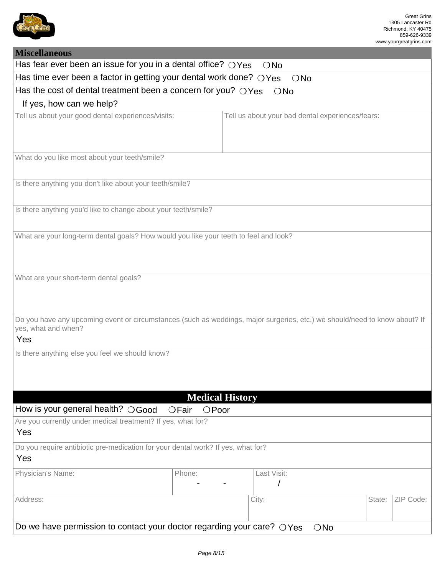

| <b>Miscellaneous</b>                                                                                                                                     |  |  |  |  |  |  |  |
|----------------------------------------------------------------------------------------------------------------------------------------------------------|--|--|--|--|--|--|--|
| Has fear ever been an issue for you in a dental office? $\bigcirc$ Yes<br>ONo                                                                            |  |  |  |  |  |  |  |
| Has time ever been a factor in getting your dental work done? $\bigcirc$ Yes<br>ONo                                                                      |  |  |  |  |  |  |  |
| Has the cost of dental treatment been a concern for you? $\bigcirc$ Yes<br>ONo                                                                           |  |  |  |  |  |  |  |
| If yes, how can we help?                                                                                                                                 |  |  |  |  |  |  |  |
| Tell us about your good dental experiences/visits:<br>Tell us about your bad dental experiences/fears:                                                   |  |  |  |  |  |  |  |
| What do you like most about your teeth/smile?                                                                                                            |  |  |  |  |  |  |  |
| Is there anything you don't like about your teeth/smile?                                                                                                 |  |  |  |  |  |  |  |
| Is there anything you'd like to change about your teeth/smile?                                                                                           |  |  |  |  |  |  |  |
| What are your long-term dental goals? How would you like your teeth to feel and look?                                                                    |  |  |  |  |  |  |  |
| What are your short-term dental goals?                                                                                                                   |  |  |  |  |  |  |  |
| Do you have any upcoming event or circumstances (such as weddings, major surgeries, etc.) we should/need to know about? If<br>yes, what and when?<br>Yes |  |  |  |  |  |  |  |
| Is there anything else you feel we should know?                                                                                                          |  |  |  |  |  |  |  |
| <b>Medical History</b>                                                                                                                                   |  |  |  |  |  |  |  |
| How is your general health? OGood<br>OPoor<br>$\bigcirc$ Fair                                                                                            |  |  |  |  |  |  |  |
| Are you currently under medical treatment? If yes, what for?<br>Yes                                                                                      |  |  |  |  |  |  |  |
| Do you require antibiotic pre-medication for your dental work? If yes, what for?<br>Yes                                                                  |  |  |  |  |  |  |  |
| Last Visit:<br>Physician's Name:<br>Phone:                                                                                                               |  |  |  |  |  |  |  |
| Address:<br>ZIP Code:<br>City:<br>State:                                                                                                                 |  |  |  |  |  |  |  |
| Do we have permission to contact your doctor regarding your care? $\bigcirc$ Yes<br>ONo                                                                  |  |  |  |  |  |  |  |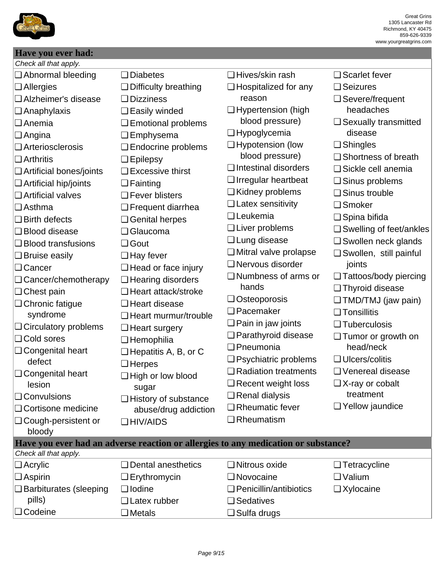

## **Have you ever had:**

- Alzheimer's disease ❏
- Anaphylaxis ❏
- Anemia ❏
- Angina ❏
- Arteriosclerosis ❏
- Arthritis ❏
- Artificial bones/joints ❏
- Artificial hip/joints ❏
- Artificial valves ❏
- Asthma ❏
- Birth defects ❏
- Blood disease ❏
- 
- 
- 
- Cancer/chemotherapy ❏
- Chest pain ❏
- Chronic fatigue ❏
- 
- Cold sores ❏
- Congenital heart ❏
- Congenital heart ❏ lesion
- Convulsions ❏
- 
- Cortisone medicine ❏
- Cough-persistent or ❏

Check all that apply.

**□ Barbiturates (sleeping** 

Frequent diarrhea ❏ Genital herpes ❏

Diabetes ❏

Dizziness ❏ Easily winded ❏

Emphysema ❏

Excessive thirst ❏

Fever blisters ❏

Glaucoma ❏

**□** Hay fever

**□ Head or face injury □** Hearing disorders Heart attack/stroke ❏

**□ Heart murmur/trouble** 

**□ Hepatitis A, B, or C** 

High or low blood ❏

Dental anesthetics ❏

Erythromycin ❏

Latex rubber ❏

**Have you ever had an adverse reaction or allergies to any medication or substance?**

**□** Heart disease

**□** Heart surgery **□** Hemophilia

Gout ❏

Epilepsy ❏

Fainting ❏

**□** Difficulty breathing

Emotional problems ❏

Endocrine problems ❏

- 
- 
- Blood transfusions ❏
- **□** Bruise easily
- Cancer ❏
	-
	-
- syndrome
- **□** Circulatory problems
- 

bloody

Acrylic ❏ Aspirin ❏

 pills) Codeine ❏

- 
- 

## defect

sugar

**□ History of substance** 

- abuse/drug addiction
- HIV/AIDS ❏

Iodine ❏

Metals ❏

**□** Herpes

- Hives/skin rash ❏
	- Hospitalized for any ❏ reason
	- Hypertension (high ❏ blood pressure)
	- Hypoglycemia ❏
	- Hypotension (low ❏ blood pressure)
	- **□** Intestinal disorders
	- **□ Irregular heartbeat**
	- Kidney problems ❏
	- **□ Latex sensitivity**
- Leukemia ❏
- Liver problems ❏
- Lung disease ❏
- Mitral valve prolapse ❏
- Nervous disorder ❏
- Numbness of arms or ❏ hands
- Osteoporosis ❏
- Pacemaker ❏
- Pain in jaw joints ❏
- Parathyroid disease ❏
- Pneumonia ❏
- Psychiatric problems ❏
- **□ Radiation treatments**
- **□ Recent weight loss**
- **□ Renal dialysis**
- Rheumatic fever ❏
- Rheumatism ❏

Nitrous oxide ❏ Novocaine ❏

**□ Sedatives** Sulfa drugs ❏

Page 9/15

Penicillin/antibiotics ❏

- **□** Scarlet fever
- **□** Seizures
- Severe/frequent ❏ headaches
- **□ Sexually transmitted** disease

Great Grins 1305 Lancaster Rd Richmond, KY 40475 859-626-9339 www.yourgreatgrins.com

- Shingles ❏
- **□** Shortness of breath
- Sickle cell anemia ❏
- Sinus problems ❏
- Sinus trouble ❏
- Smoker ❏
- Spina bifida ❏
- **□** Swelling of feet/ankles
- **□** Swollen neck glands
- Swollen, still painful ❏ joints
- **□ Tattoos/body piercing**

TMD/TMJ (jaw pain) ❏

**□** Tumor or growth on head/neck Ulcers/colitis ❏

Venereal disease ❏ X-ray or cobalt ❏ treatment Yellow jaundice ❏

**□** Tetracycline

Valium ❏ Xylocaine ❏

Thyroid disease ❏

Tonsillitis ❏ **□** Tuberculosis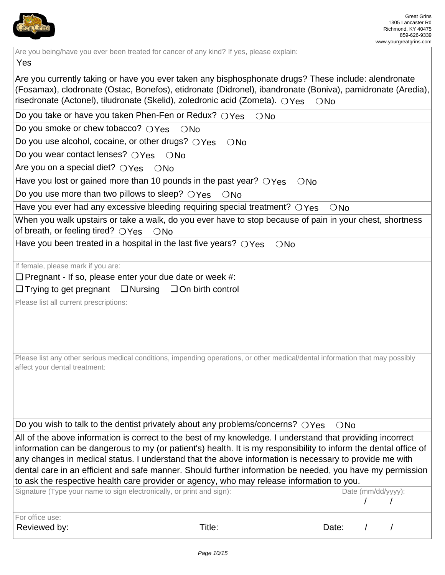

Are you being/have you ever been treated for cancer of any kind? If yes, please explain:

### Yes

Are you currently taking or have you ever taken any bisphosphonate drugs? These include: alendronate No (Fosamax), clodronate (Ostac, Bonefos), etidronate (Didronel), ibandronate (Boniva), pamidronate (Aredia), risedronate (Actonel), tiludronate (Skelid), zoledronic acid (Zometa).  $\bigcirc$ Yes  $\hspace{0.15cm} \bigcirc$ No

Do you take or have you taken Phen-Fen or Redux?  $\bigcirc$ Yes  $\bigcirc$ No

Do you smoke or chew tobacco?  $\bigcirc$  Yes  $\bigcirc$  No

Do you use alcohol, cocaine, or other drugs?  $\bigcirc$ Yes  $\bigcirc$ No

Do you wear contact lenses?  $\bigcirc Y$ es  $\bigcirc$  No

Are you on a special diet?  $\bigcirc$  Yes  $\hspace{1.5mm}$   $\bigcirc$  No

Have you lost or gained more than 10 pounds in the past year?  $\bigcirc$  Yes  $\bigcirc$  No

Do you use more than two pillows to sleep?  $\bigcirc$  Yes  $\bigcirc$  No

Have you ever had any excessive bleeding requiring special treatment?  $\bigcirc$  Yes  $\hspace{1.5mm}$  ONo

When you walk upstairs or take a walk, do you ever have to stop because of pain in your chest, shortness of breath, or feeling tired?  $\bigcirc$ Yes  $\bigcirc$ No

Have you been treated in a hospital in the last five years?  $\bigcirc$  Yes  $\bigcirc$  No

If female, please mark if you are:

□ Pregnant - If so, please enter your due date or week #:

| $\Box$ Trying to get pregnant |  | $\Box$ Nursing $\Box$ On birth control |
|-------------------------------|--|----------------------------------------|
|-------------------------------|--|----------------------------------------|

Please list all current prescriptions:

Please list any other serious medical conditions, impending operations, or other medical/dental information that may possibly affect your dental treatment:

Do you wish to talk to the dentist privately about any problems/concerns?  $\bigcirc$ Yes  $\bigcirc$ No

All of the above information is correct to the best of my knowledge. I understand that providing incorrect information can be dangerous to my (or patient's) health. It is my responsibility to inform the dental office of any changes in medical status. I understand that the above information is necessary to provide me with dental care in an efficient and safe manner. Should further information be needed, you have my permission to ask the respective health care provider or agency, who may release information to you.

| Signature (Type your name to sign electronically, or print and sign): | Date (mm/dd/yyyy): |
|-----------------------------------------------------------------------|--------------------|
|                                                                       |                    |
| l For office use: l                                                   |                    |

 $\overline{a}$ 

 $\overline{\phantom{0}}$ 

2018

2016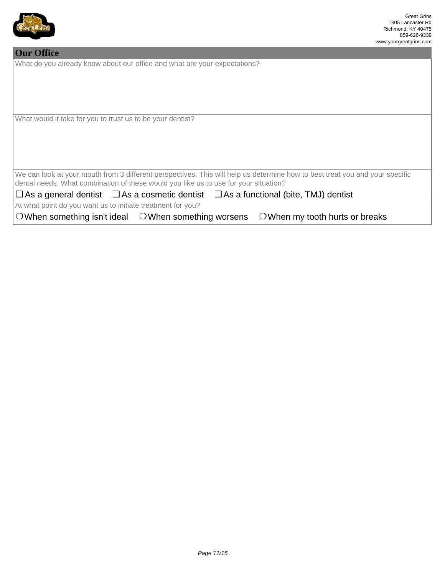

#### **Our Office**

What do you already know about our office and what are your expectations?

What would it take for you to trust us to be your dentist?

We can look at your mouth from 3 different perspectives. This will help us determine how to best treat you and your specific dental needs. What combination of these would you like us to use for your situation?

**□ As a general dentist** □ As a cosmetic dentist □ As a functional (bite, TMJ) dentist

At what point do you want us to initiate treatment for you?

 $\bigcirc$  When something isn't ideal  $\bigcirc$  When something worsens  $\bigcirc$  When my tooth hurts or breaks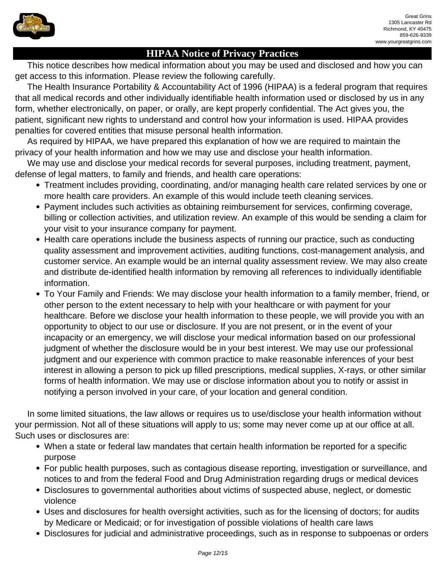

# **HIPAA Notice of Privacy Practices**

 This notice describes how medical information about you may be used and disclosed and how you can get access to this information. Please review the following carefully.

 The Health Insurance Portability & Accountability Act of 1996 (HIPAA) is a federal program that requires that all medical records and other individually identifiable health information used or disclosed by us in any form, whether electronically, on paper, or orally, are kept properly confidential. The Act gives you, the patient, significant new rights to understand and control how your information is used. HIPAA provides penalties for covered entities that misuse personal health information.

 As required by HIPAA, we have prepared this explanation of how we are required to maintain the privacy of your health information and how we may use and disclose your health information.

 We may use and disclose your medical records for several purposes, including treatment, payment, defense of legal matters, to family and friends, and health care operations:

- Treatment includes providing, coordinating, and/or managing health care related services by one or more health care providers. An example of this would include teeth cleaning services.
- Payment includes such activities as obtaining reimbursement for services, confirming coverage, billing or collection activities, and utilization review. An example of this would be sending a claim for your visit to your insurance company for payment.
- Health care operations include the business aspects of running our practice, such as conducting quality assessment and improvement activities, auditing functions, cost-management analysis, and customer service. An example would be an internal quality assessment review. We may also create and distribute de-identified health information by removing all references to individually identifiable information.
- To Your Family and Friends: We may disclose your health information to a family member, friend, or other person to the extent necessary to help with your healthcare or with payment for your healthcare. Before we disclose your health information to these people, we will provide you with an opportunity to object to our use or disclosure. If you are not present, or in the event of your incapacity or an emergency, we will disclose your medical information based on our professional judgment of whether the disclosure would be in your best interest. We may use our professional judgment and our experience with common practice to make reasonable inferences of your best interest in allowing a person to pick up filled prescriptions, medical supplies, X-rays, or other similar forms of health information. We may use or disclose information about you to notify or assist in notifying a person involved in your care, of your location and general condition.

 In some limited situations, the law allows or requires us to use/disclose your health information without your permission. Not all of these situations will apply to us; some may never come up at our office at all. Such uses or disclosures are:

- When a state or federal law mandates that certain health information be reported for a specific purpose
- For public health purposes, such as contagious disease reporting, investigation or surveillance, and notices to and from the federal Food and Drug Administration regarding drugs or medical devices
- Disclosures to governmental authorities about victims of suspected abuse, neglect, or domestic violence
- Uses and disclosures for health oversight activities, such as for the licensing of doctors; for audits by Medicare or Medicaid; or for investigation of possible violations of health care laws
- Disclosures for judicial and administrative proceedings, such as in response to subpoenas or orders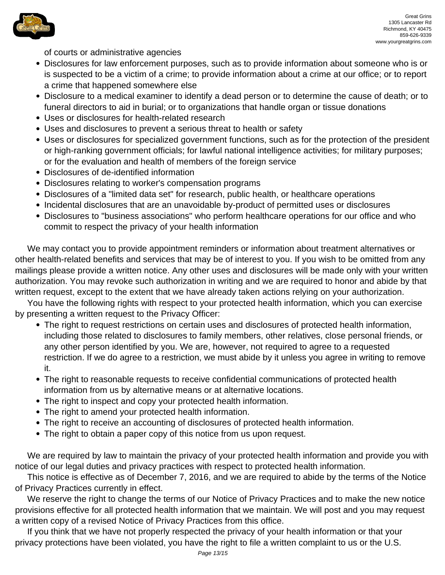

of courts or administrative agencies

- Disclosures for law enforcement purposes, such as to provide information about someone who is or is suspected to be a victim of a crime; to provide information about a crime at our office; or to report a crime that happened somewhere else
- Disclosure to a medical examiner to identify a dead person or to determine the cause of death; or to funeral directors to aid in burial; or to organizations that handle organ or tissue donations
- Uses or disclosures for health-related research
- Uses and disclosures to prevent a serious threat to health or safety
- Uses or disclosures for specialized government functions, such as for the protection of the president or high-ranking government officials; for lawful national intelligence activities; for military purposes; or for the evaluation and health of members of the foreign service
- Disclosures of de-identified information
- Disclosures relating to worker's compensation programs
- Disclosures of a "limited data set" for research, public health, or healthcare operations
- Incidental disclosures that are an unavoidable by-product of permitted uses or disclosures
- Disclosures to "business associations" who perform healthcare operations for our office and who commit to respect the privacy of your health information

 We may contact you to provide appointment reminders or information about treatment alternatives or other health-related benefits and services that may be of interest to you. If you wish to be omitted from any mailings please provide a written notice. Any other uses and disclosures will be made only with your written authorization. You may revoke such authorization in writing and we are required to honor and abide by that written request, except to the extent that we have already taken actions relying on your authorization.

 You have the following rights with respect to your protected health information, which you can exercise by presenting a written request to the Privacy Officer:

- The right to request restrictions on certain uses and disclosures of protected health information, including those related to disclosures to family members, other relatives, close personal friends, or any other person identified by you. We are, however, not required to agree to a requested restriction. If we do agree to a restriction, we must abide by it unless you agree in writing to remove it.
- The right to reasonable requests to receive confidential communications of protected health information from us by alternative means or at alternative locations.
- The right to inspect and copy your protected health information.
- The right to amend your protected health information.
- The right to receive an accounting of disclosures of protected health information.
- The right to obtain a paper copy of this notice from us upon request.

We are required by law to maintain the privacy of your protected health information and provide you with notice of our legal duties and privacy practices with respect to protected health information.

 This notice is effective as of December 7, 2016, and we are required to abide by the terms of the Notice of Privacy Practices currently in effect.

 We reserve the right to change the terms of our Notice of Privacy Practices and to make the new notice provisions effective for all protected health information that we maintain. We will post and you may request a written copy of a revised Notice of Privacy Practices from this office.

 If you think that we have not properly respected the privacy of your health information or that your privacy protections have been violated, you have the right to file a written complaint to us or the U.S.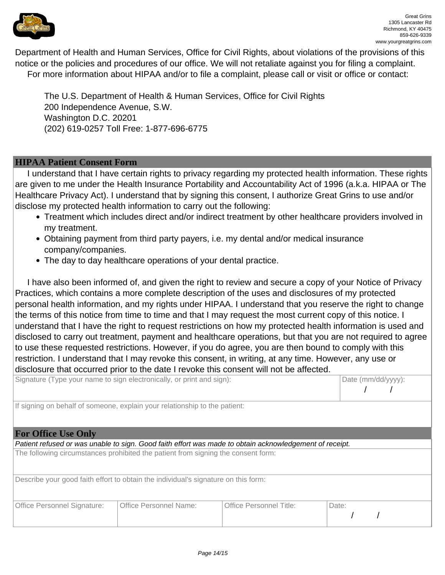

Department of Health and Human Services, Office for Civil Rights, about violations of the provisions of this notice or the policies and procedures of our office. We will not retaliate against you for filing a complaint. For more information about HIPAA and/or to file a complaint, please call or visit or office or contact:

The U.S. Department of Health & Human Services, Office for Civil Rights 200 Independence Avenue, S.W. Washington D.C. 20201 (202) 619-0257 Toll Free: 1-877-696-6775

## **HIPAA Patient Consent Form**

 I understand that I have certain rights to privacy regarding my protected health information. These rights are given to me under the Health Insurance Portability and Accountability Act of 1996 (a.k.a. HIPAA or The Healthcare Privacy Act). I understand that by signing this consent, I authorize Great Grins to use and/or disclose my protected health information to carry out the following:

- Treatment which includes direct and/or indirect treatment by other healthcare providers involved in my treatment.
- Obtaining payment from third party payers, i.e. my dental and/or medical insurance company/companies.
- The day to day healthcare operations of your dental practice.

 I have also been informed of, and given the right to review and secure a copy of your Notice of Privacy Practices, which contains a more complete description of the uses and disclosures of my protected personal health information, and my rights under HIPAA. I understand that you reserve the right to change the terms of this notice from time to time and that I may request the most current copy of this notice. I understand that I have the right to request restrictions on how my protected health information is used and disclosed to carry out treatment, payment and healthcare operations, but that you are not required to agree to use these requested restrictions. However, if you do agree, you are then bound to comply with this restriction. I understand that I may revoke this consent, in writing, at any time. However, any use or disclosure that occurred prior to the date I revoke this consent will not be affected.

| Signature (Type your name to sign electronically, or print and sign):                                   | Date (mm/dd/yyyy):     |                                |       |  |  |  |  |  |
|---------------------------------------------------------------------------------------------------------|------------------------|--------------------------------|-------|--|--|--|--|--|
| If signing on behalf of someone, explain your relationship to the patient:                              |                        |                                |       |  |  |  |  |  |
| <b>For Office Use Only</b>                                                                              |                        |                                |       |  |  |  |  |  |
| Patient refused or was unable to sign. Good faith effort was made to obtain acknowledgement of receipt. |                        |                                |       |  |  |  |  |  |
| The following circumstances prohibited the patient from signing the consent form:                       |                        |                                |       |  |  |  |  |  |
| Describe your good faith effort to obtain the individual's signature on this form:                      |                        |                                |       |  |  |  |  |  |
| <b>Office Personnel Signature:</b>                                                                      | Office Personnel Name: | <b>Office Personnel Title:</b> | Date: |  |  |  |  |  |